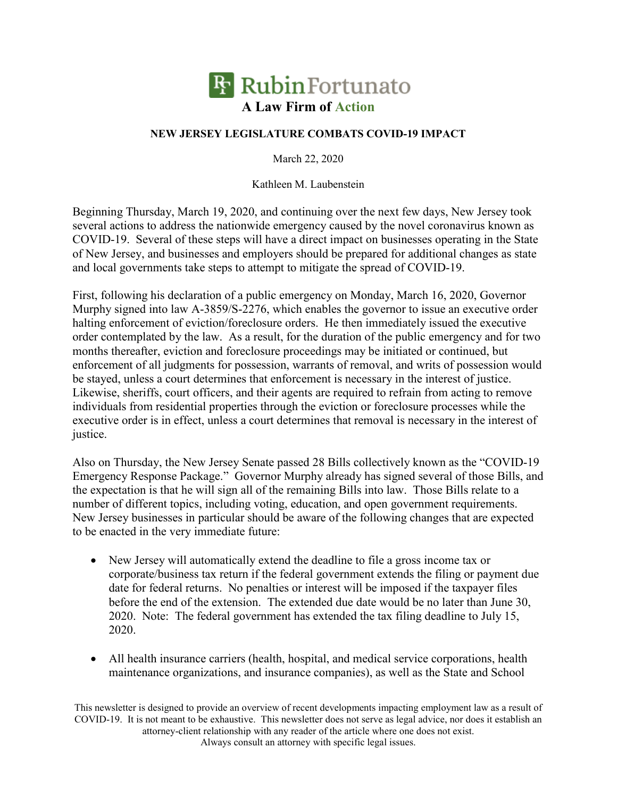

## **NEW JERSEY LEGISLATURE COMBATS COVID-19 IMPACT**

March 22, 2020

Kathleen M. Laubenstein

Beginning Thursday, March 19, 2020, and continuing over the next few days, New Jersey took several actions to address the nationwide emergency caused by the novel coronavirus known as COVID-19. Several of these steps will have a direct impact on businesses operating in the State of New Jersey, and businesses and employers should be prepared for additional changes as state and local governments take steps to attempt to mitigate the spread of COVID-19.

First, following his declaration of a public emergency on Monday, March 16, 2020, Governor Murphy signed into law A-3859/S-2276, which enables the governor to issue an executive order halting enforcement of eviction/foreclosure orders. He then immediately issued the executive order contemplated by the law. As a result, for the duration of the public emergency and for two months thereafter, eviction and foreclosure proceedings may be initiated or continued, but enforcement of all judgments for possession, warrants of removal, and writs of possession would be stayed, unless a court determines that enforcement is necessary in the interest of justice. Likewise, sheriffs, court officers, and their agents are required to refrain from acting to remove individuals from residential properties through the eviction or foreclosure processes while the executive order is in effect, unless a court determines that removal is necessary in the interest of justice.

Also on Thursday, the New Jersey Senate passed 28 Bills collectively known as the "COVID-19 Emergency Response Package." Governor Murphy already has signed several of those Bills, and the expectation is that he will sign all of the remaining Bills into law. Those Bills relate to a number of different topics, including voting, education, and open government requirements. New Jersey businesses in particular should be aware of the following changes that are expected to be enacted in the very immediate future:

- New Jersey will automatically extend the deadline to file a gross income tax or corporate/business tax return if the federal government extends the filing or payment due date for federal returns. No penalties or interest will be imposed if the taxpayer files before the end of the extension. The extended due date would be no later than June 30, 2020. Note: The federal government has extended the tax filing deadline to July 15, 2020.
- All health insurance carriers (health, hospital, and medical service corporations, health maintenance organizations, and insurance companies), as well as the State and School

This newsletter is designed to provide an overview of recent developments impacting employment law as a result of COVID-19. It is not meant to be exhaustive. This newsletter does not serve as legal advice, nor does it establish an attorney-client relationship with any reader of the article where one does not exist. Always consult an attorney with specific legal issues.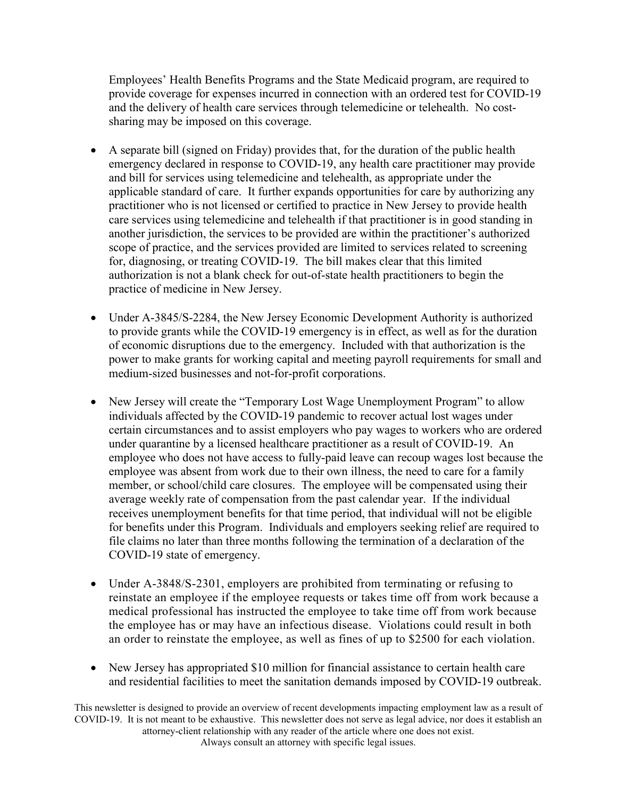Employees' Health Benefits Programs and the State Medicaid program, are required to provide coverage for expenses incurred in connection with an ordered test for COVID-19 and the delivery of health care services through telemedicine or telehealth. No costsharing may be imposed on this coverage.

- A separate bill (signed on Friday) provides that, for the duration of the public health emergency declared in response to COVID-19, any health care practitioner may provide and bill for services using telemedicine and telehealth, as appropriate under the applicable standard of care. It further expands opportunities for care by authorizing any practitioner who is not licensed or certified to practice in New Jersey to provide health care services using telemedicine and telehealth if that practitioner is in good standing in another jurisdiction, the services to be provided are within the practitioner's authorized scope of practice, and the services provided are limited to services related to screening for, diagnosing, or treating COVID-19. The bill makes clear that this limited authorization is not a blank check for out-of-state health practitioners to begin the practice of medicine in New Jersey.
- Under A-3845/S-2284, the New Jersey Economic Development Authority is authorized to provide grants while the COVID-19 emergency is in effect, as well as for the duration of economic disruptions due to the emergency. Included with that authorization is the power to make grants for working capital and meeting payroll requirements for small and medium-sized businesses and not-for-profit corporations.
- New Jersey will create the "Temporary Lost Wage Unemployment Program" to allow individuals affected by the COVID-19 pandemic to recover actual lost wages under certain circumstances and to assist employers who pay wages to workers who are ordered under quarantine by a licensed healthcare practitioner as a result of COVID-19. An employee who does not have access to fully-paid leave can recoup wages lost because the employee was absent from work due to their own illness, the need to care for a family member, or school/child care closures. The employee will be compensated using their average weekly rate of compensation from the past calendar year. If the individual receives unemployment benefits for that time period, that individual will not be eligible for benefits under this Program. Individuals and employers seeking relief are required to file claims no later than three months following the termination of a declaration of the COVID-19 state of emergency.
- Under A-3848/S-2301, employers are prohibited from terminating or refusing to reinstate an employee if the employee requests or takes time off from work because a medical professional has instructed the employee to take time off from work because the employee has or may have an infectious disease. Violations could result in both an order to reinstate the employee, as well as fines of up to \$2500 for each violation.
- New Jersey has appropriated \$10 million for financial assistance to certain health care and residential facilities to meet the sanitation demands imposed by COVID-19 outbreak.

This newsletter is designed to provide an overview of recent developments impacting employment law as a result of COVID-19. It is not meant to be exhaustive. This newsletter does not serve as legal advice, nor does it establish an attorney-client relationship with any reader of the article where one does not exist. Always consult an attorney with specific legal issues.